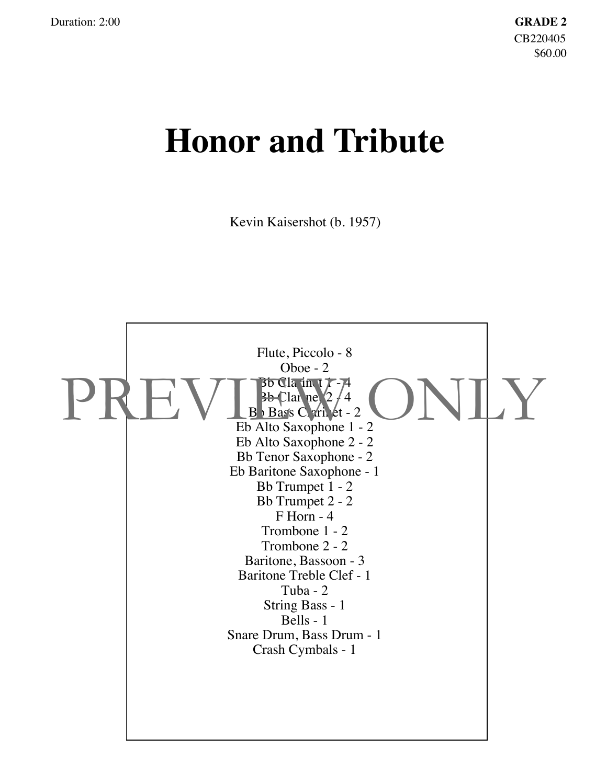## **Honor and Tribute**

Kevin Kaisershot (b. 1957)

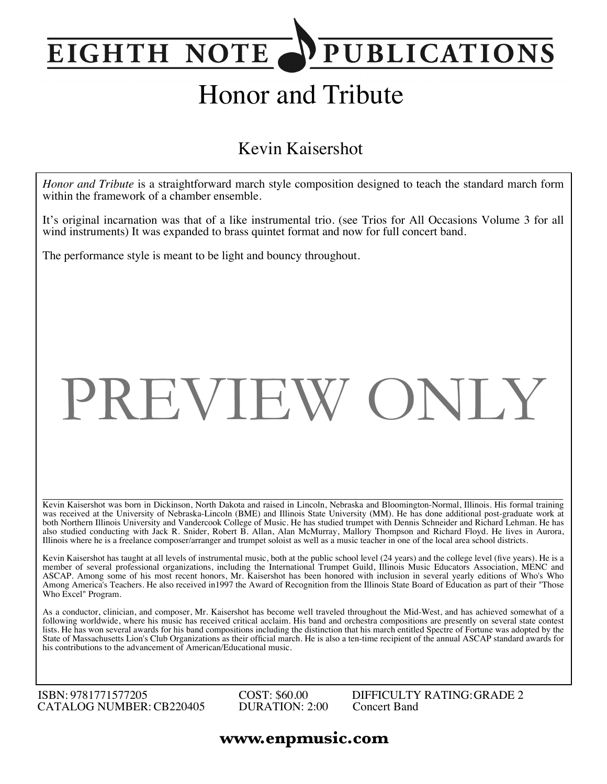#### PUBLICATIONS EIGHTH NOTE

### Honor and Tribute

#### Kevin Kaisershot

*Honor and Tribute* is a straightforward march style composition designed to teach the standard march form within the framework of a chamber ensemble.

It's original incarnation was that of a like instrumental trio. (see Trios for All Occasions Volume 3 for all wind instruments) It was expanded to brass quintet format and now for full concert band.

The performance style is meant to be light and bouncy throughout.

# PREVIEW ONLY

Kevin Kaisershot was born in Dickinson, North Dakota and raised in Lincoln, Nebraska and Bloomington-Normal, Illinois. His formal training was received at the University of Nebraska-Lincoln (BME) and Illinois State University (MM). He has done additional post-graduate work at both Northern Illinois University and Vandercook College of Music. He has studied trumpet with Dennis Schneider and Richard Lehman. He has also studied conducting with Jack R. Snider, Robert B. Allan, Alan McMurray, Mallory Thompson and Richard Floyd. He lives in Aurora, Illinois where he is a freelance composer/arranger and trumpet soloist as well as a music teacher in one of the local area school districts.

Kevin Kaisershot has taught at all levels of instrumental music, both at the public school level (24 years) and the college level (five years). He is a member of several professional organizations, including the International Trumpet Guild, Illinois Music Educators Association, MENC and ASCAP. Among some of his most recent honors, Mr. Kaisershot has been honored with inclusion in several yearly editions of Who's Who Among America's Teachers. He also received in1997 the Award of Recognition from the Illinois State Board of Education as part of their "Those Who Excel" Program.

As a conductor, clinician, and composer, Mr. Kaisershot has become well traveled throughout the Mid-West, and has achieved somewhat of a following worldwide, where his music has received critical acclaim. His band and orchestra compositions are presently on several state contest lists. He has won several awards for his band compositions including the distinction that his march entitled Spectre of Fortune was adopted by the State of Massachusetts Lion's Club Organizations as their official march. He is also a ten-time recipient of the annual ASCAP standard awards for his contributions to the advancement of American/Educational music.

ISBN: 9781771577205 CATALOG NUMBER:CB220405 COST: \$60.00 DURATION: 2:00 DIFFICULTY RATING:GRADE 2 Concert Band

#### **www.enpmusic.com**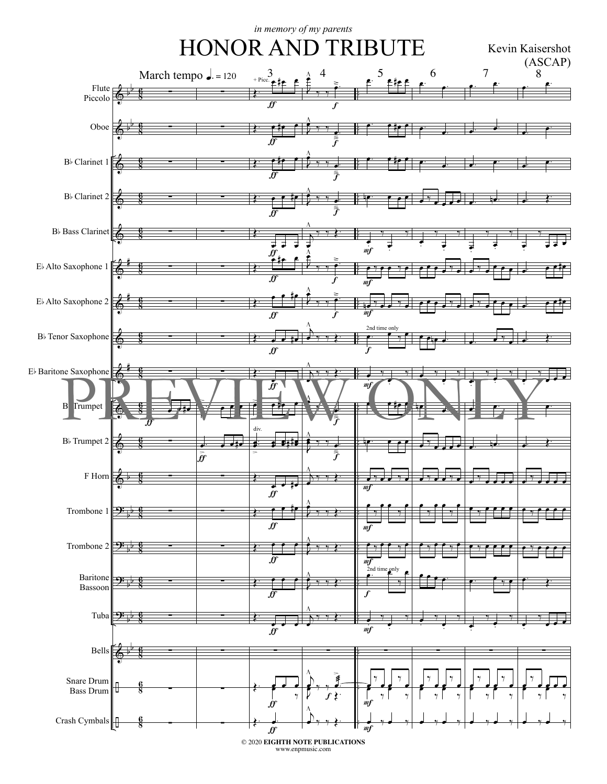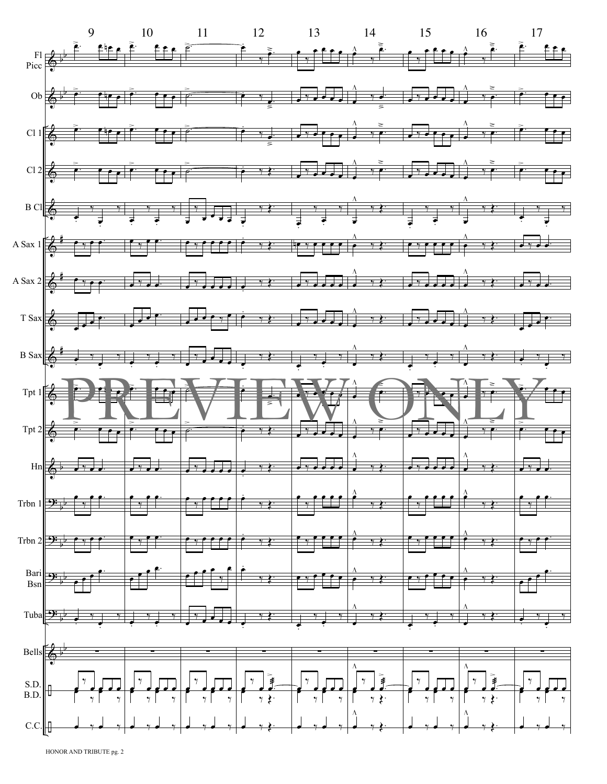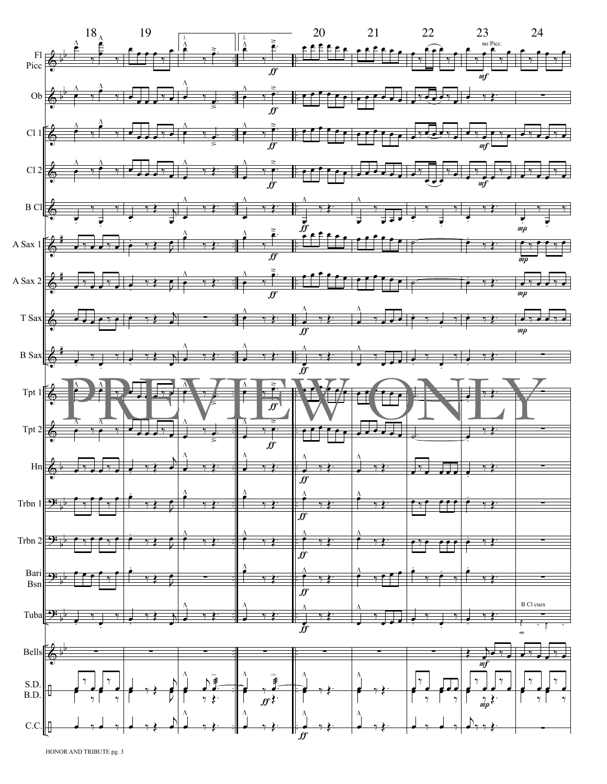

HONOR AND TRIBUTE pg. 3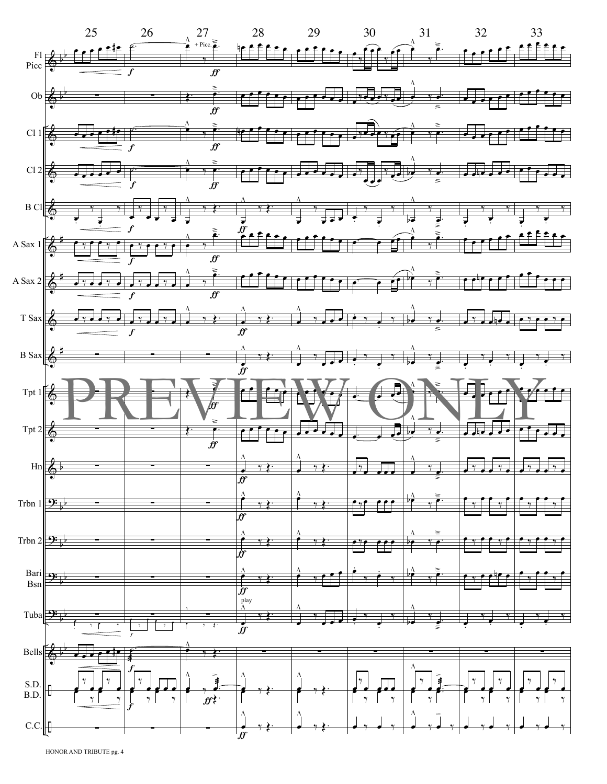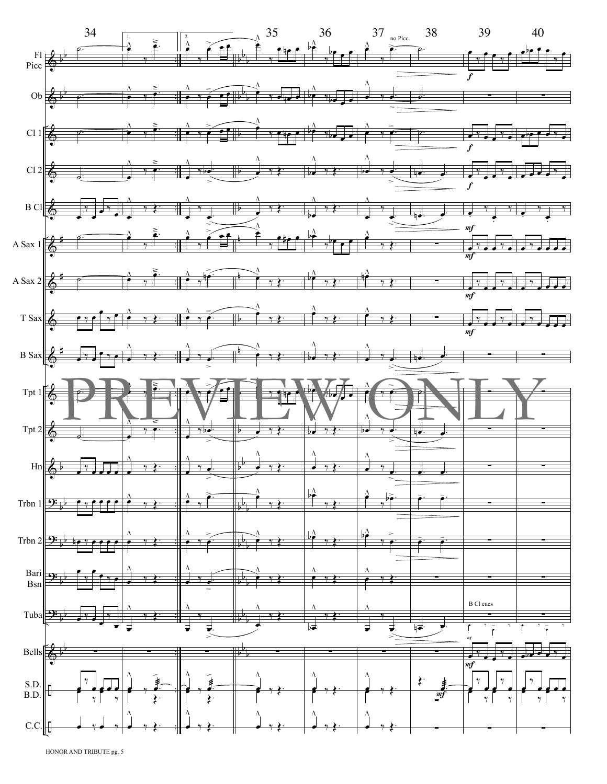

HONOR AND TRIBUTE pg. 5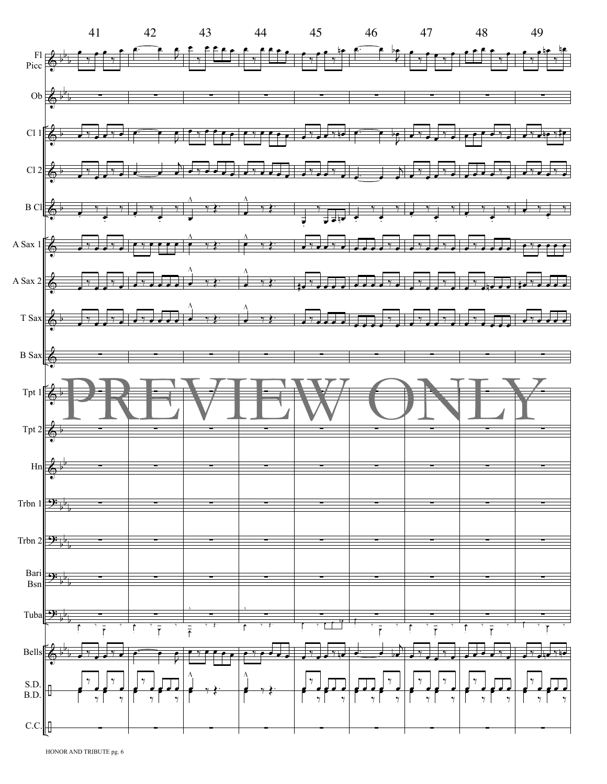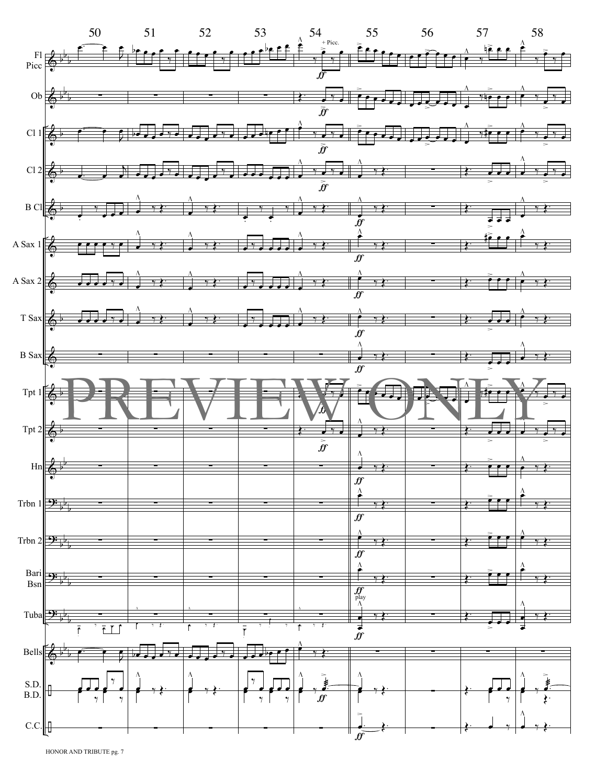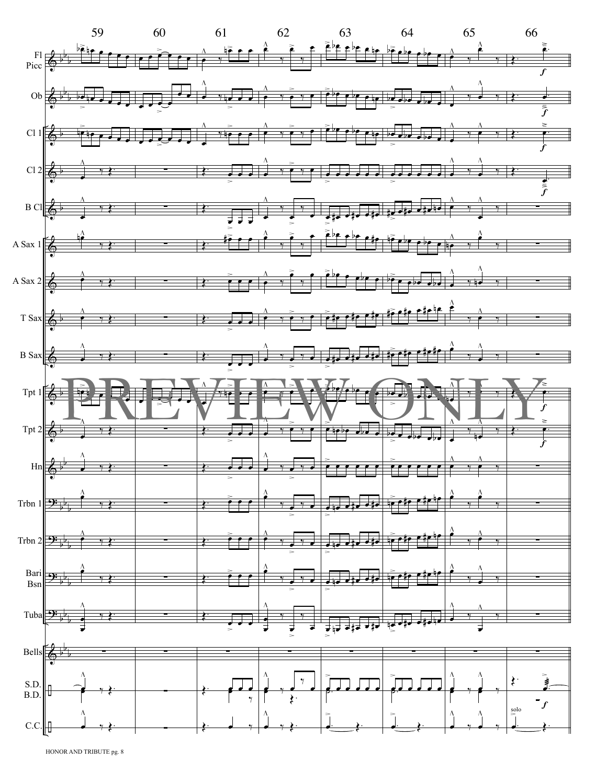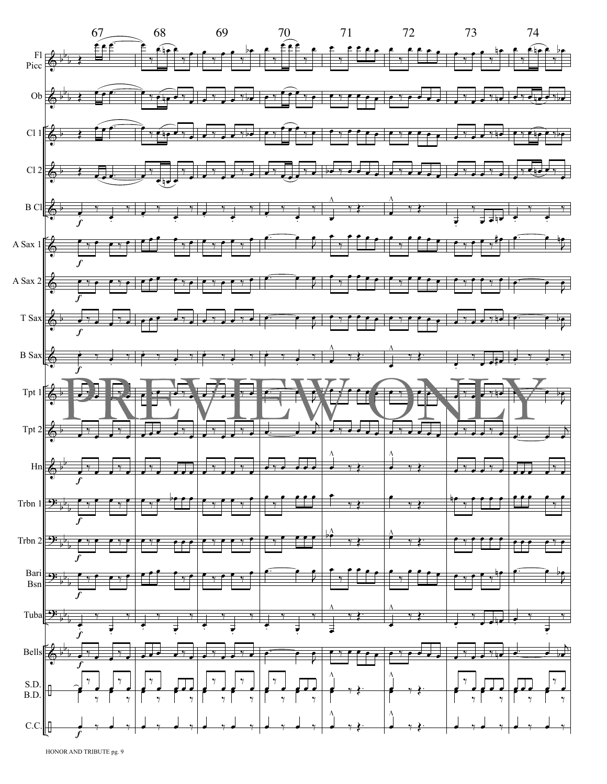

HONOR AND TRIBUTE pg. 9